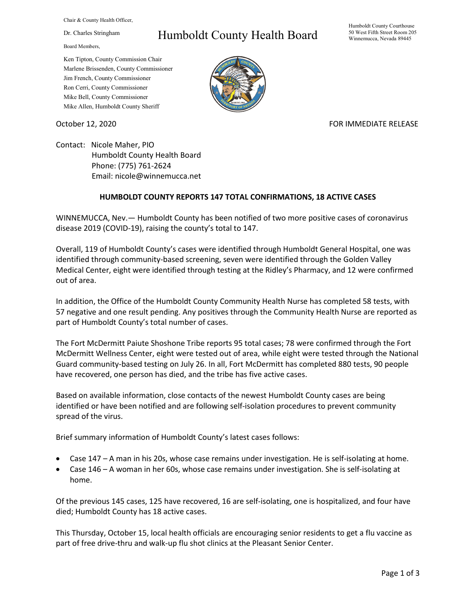Chair & County Health Officer,

Dr. Charles Stringham

Board Members,

## Humboldt County Health Board

Humboldt County Courthouse 50 West Fifth Street Room 205 Winnemucca, Nevada 89445

Ken Tipton, County Commission Chair Marlene Brissenden, County Commissioner Jim French, County Commissioner Ron Cerri, County Commissioner Mike Bell, County Commissioner Mike Allen, Humboldt County Sheriff



## October 12, 2020 FOR IMMEDIATE RELEASE

Contact: Nicole Maher, PIO Humboldt County Health Board Phone: (775) 761-2624 Email: nicole@winnemucca.net

## **HUMBOLDT COUNTY REPORTS 147 TOTAL CONFIRMATIONS, 18 ACTIVE CASES**

WINNEMUCCA, Nev.— Humboldt County has been notified of two more positive cases of coronavirus disease 2019 (COVID-19), raising the county's total to 147.

Overall, 119 of Humboldt County's cases were identified through Humboldt General Hospital, one was identified through community-based screening, seven were identified through the Golden Valley Medical Center, eight were identified through testing at the Ridley's Pharmacy, and 12 were confirmed out of area.

In addition, the Office of the Humboldt County Community Health Nurse has completed 58 tests, with 57 negative and one result pending. Any positives through the Community Health Nurse are reported as part of Humboldt County's total number of cases.

The Fort McDermitt Paiute Shoshone Tribe reports 95 total cases; 78 were confirmed through the Fort McDermitt Wellness Center, eight were tested out of area, while eight were tested through the National Guard community-based testing on July 26. In all, Fort McDermitt has completed 880 tests, 90 people have recovered, one person has died, and the tribe has five active cases.

Based on available information, close contacts of the newest Humboldt County cases are being identified or have been notified and are following self-isolation procedures to prevent community spread of the virus.

Brief summary information of Humboldt County's latest cases follows:

- Case 147 A man in his 20s, whose case remains under investigation. He is self-isolating at home.
- Case 146 A woman in her 60s, whose case remains under investigation. She is self-isolating at home.

Of the previous 145 cases, 125 have recovered, 16 are self-isolating, one is hospitalized, and four have died; Humboldt County has 18 active cases.

This Thursday, October 15, local health officials are encouraging senior residents to get a flu vaccine as part of free drive-thru and walk-up flu shot clinics at the Pleasant Senior Center.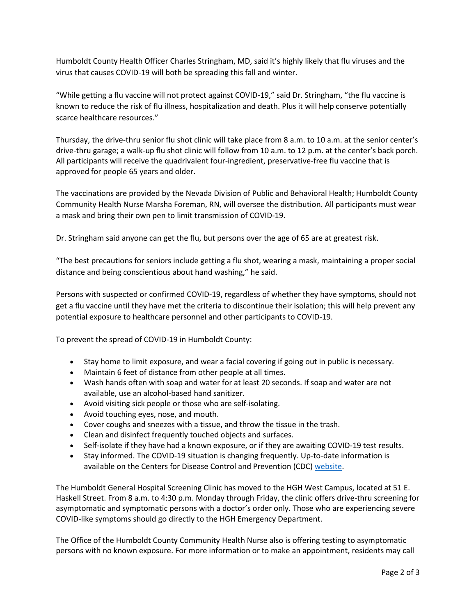Humboldt County Health Officer Charles Stringham, MD, said it's highly likely that flu viruses and the virus that causes COVID-19 will both be spreading this fall and winter.

"While getting a flu vaccine will not protect against COVID-19," said Dr. Stringham, "the flu vaccine is known to reduce the risk of flu illness, hospitalization and death. Plus it will help conserve potentially scarce healthcare resources."

Thursday, the drive-thru senior flu shot clinic will take place from 8 a.m. to 10 a.m. at the senior center's drive-thru garage; a walk-up flu shot clinic will follow from 10 a.m. to 12 p.m. at the center's back porch. All participants will receive the quadrivalent four-ingredient, preservative-free flu vaccine that is approved for people 65 years and older.

The vaccinations are provided by the Nevada Division of Public and Behavioral Health; Humboldt County Community Health Nurse Marsha Foreman, RN, will oversee the distribution. All participants must wear a mask and bring their own pen to limit transmission of COVID-19.

Dr. Stringham said anyone can get the flu, but persons over the age of 65 are at greatest risk.

"The best precautions for seniors include getting a flu shot, wearing a mask, maintaining a proper social distance and being conscientious about hand washing," he said.

Persons with suspected or confirmed COVID-19, regardless of whether they have symptoms, should not get a flu vaccine until they have met the criteria to discontinue their isolation; this will help prevent any potential exposure to healthcare personnel and other participants to COVID-19.

To prevent the spread of COVID-19 in Humboldt County:

- Stay home to limit exposure, and wear a facial covering if going out in public is necessary.
- Maintain 6 feet of distance from other people at all times.
- Wash hands often with soap and water for at least 20 seconds. If soap and water are not available, use an alcohol-based hand sanitizer.
- Avoid visiting sick people or those who are self-isolating.
- Avoid touching eyes, nose, and mouth.
- Cover coughs and sneezes with a tissue, and throw the tissue in the trash.
- Clean and disinfect frequently touched objects and surfaces.
- Self-isolate if they have had a known exposure, or if they are awaiting COVID-19 test results.
- Stay informed. The COVID-19 situation is changing frequently. Up-to-date information is available on the Centers for Disease Control and Prevention (CDC) [website.](http://www.cdc.gov/coronavirus/2019-ncov/index.html)

The Humboldt General Hospital Screening Clinic has moved to the HGH West Campus, located at 51 E. Haskell Street. From 8 a.m. to 4:30 p.m. Monday through Friday, the clinic offers drive-thru screening for asymptomatic and symptomatic persons with a doctor's order only. Those who are experiencing severe COVID-like symptoms should go directly to the HGH Emergency Department.

The Office of the Humboldt County Community Health Nurse also is offering testing to asymptomatic persons with no known exposure. For more information or to make an appointment, residents may call